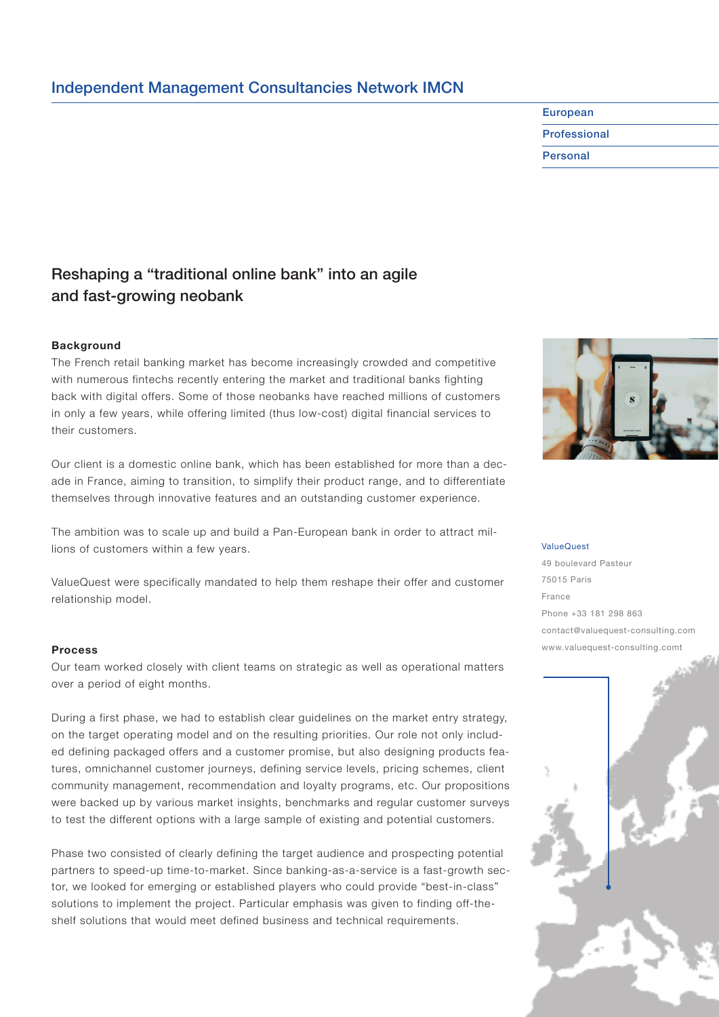# Independent Management Consultancies Network IMCN

# Reshaping a "traditional online bank" into an agile and fast-growing neobank

## **Background**

The French retail banking market has become increasingly crowded and competitive with numerous fintechs recently entering the market and traditional banks fighting back with digital offers. Some of those neobanks have reached millions of customers in only a few years, while offering limited (thus low-cost) digital financial services to their customers.

Our client is a domestic online bank, which has been established for more than a decade in France, aiming to transition, to simplify their product range, and to differentiate themselves through innovative features and an outstanding customer experience.

The ambition was to scale up and build a Pan-European bank in order to attract millions of customers within a few years.

ValueQuest were specifically mandated to help them reshape their offer and customer relationship model.

### **Process**

Our team worked closely with client teams on strategic as well as operational matters over a period of eight months.

During a first phase, we had to establish clear guidelines on the market entry strategy, on the target operating model and on the resulting priorities. Our role not only included defining packaged offers and a customer promise, but also designing products features, omnichannel customer journeys, defining service levels, pricing schemes, client community management, recommendation and loyalty programs, etc. Our propositions were backed up by various market insights, benchmarks and regular customer surveys to test the different options with a large sample of existing and potential customers.

Phase two consisted of clearly defining the target audience and prospecting potential partners to speed-up time-to-market. Since banking-as-a-service is a fast-growth sector, we looked for emerging or established players who could provide "best-in-class" solutions to implement the project. Particular emphasis was given to finding off-theshelf solutions that would meet defined business and technical requirements.

#### ValueQuest

European Professional Personal

49 boulevard Pasteur 75015 Paris France Phone +33 181 298 863 contact@valuequest-consulting.com www.valuequest-consulting.comt